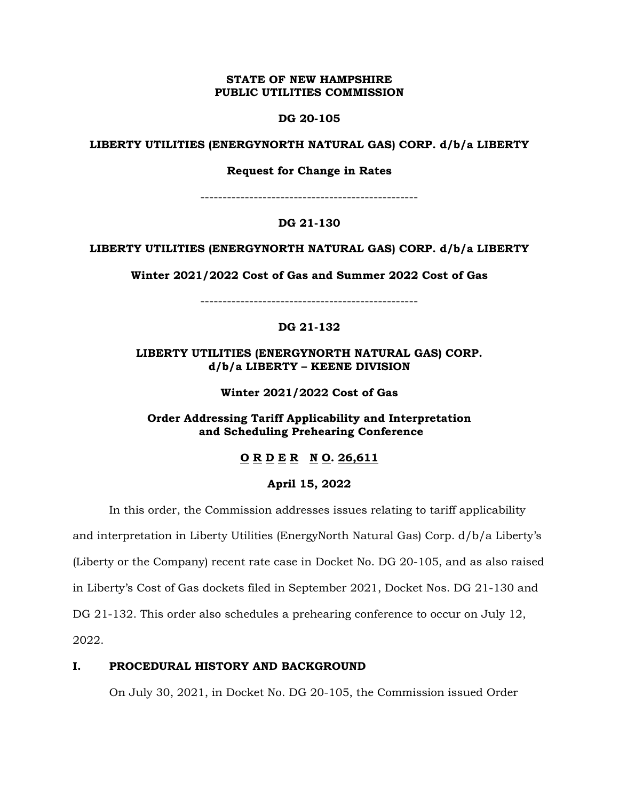#### **STATE OF NEW HAMPSHIRE PUBLIC UTILITIES COMMISSION**

#### **DG 20-105**

#### **LIBERTY UTILITIES (ENERGYNORTH NATURAL GAS) CORP. d/b/a LIBERTY**

**Request for Change in Rates**

-------------------------------------------------

# **DG 21-130**

### **LIBERTY UTILITIES (ENERGYNORTH NATURAL GAS) CORP. d/b/a LIBERTY**

**Winter 2021/2022 Cost of Gas and Summer 2022 Cost of Gas**

-------------------------------------------------

# **DG 21-132**

# **LIBERTY UTILITIES (ENERGYNORTH NATURAL GAS) CORP. d/b/a LIBERTY – KEENE DIVISION**

**Winter 2021/2022 Cost of Gas**

**Order Addressing Tariff Applicability and Interpretation and Scheduling Prehearing Conference**

# **O R D E R N O. 26,611**

### **April 15, 2022**

In this order, the Commission addresses issues relating to tariff applicability

and interpretation in Liberty Utilities (EnergyNorth Natural Gas) Corp. d/b/a Liberty's (Liberty or the Company) recent rate case in Docket No. DG 20-105, and as also raised in Liberty's Cost of Gas dockets filed in September 2021, Docket Nos. DG 21-130 and DG 21-132. This order also schedules a prehearing conference to occur on July 12, 2022.

# **I. PROCEDURAL HISTORY AND BACKGROUND**

On July 30, 2021, in Docket No. DG 20-105, the Commission issued Order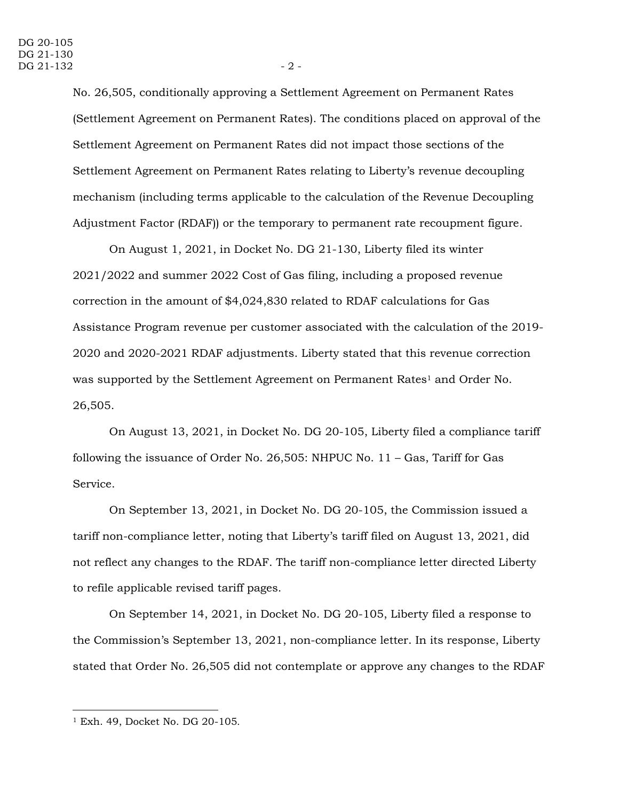No. 26,505, conditionally approving a Settlement Agreement on Permanent Rates (Settlement Agreement on Permanent Rates). The conditions placed on approval of the Settlement Agreement on Permanent Rates did not impact those sections of the Settlement Agreement on Permanent Rates relating to Liberty's revenue decoupling mechanism (including terms applicable to the calculation of the Revenue Decoupling Adjustment Factor (RDAF)) or the temporary to permanent rate recoupment figure.

On August 1, 2021, in Docket No. DG 21-130, Liberty filed its winter 2021/2022 and summer 2022 Cost of Gas filing, including a proposed revenue correction in the amount of \$4,024,830 related to RDAF calculations for Gas Assistance Program revenue per customer associated with the calculation of the 2019- 2020 and 2020-2021 RDAF adjustments. Liberty stated that this revenue correction was supported by the Settlement Agreement on Permanent Rates<sup>1</sup> and Order No. 26,505.

On August 13, 2021, in Docket No. DG 20-105, Liberty filed a compliance tariff following the issuance of Order No. 26,505: NHPUC No. 11 – Gas, Tariff for Gas Service.

On September 13, 2021, in Docket No. DG 20-105, the Commission issued a tariff non-compliance letter, noting that Liberty's tariff filed on August 13, 2021, did not reflect any changes to the RDAF. The tariff non-compliance letter directed Liberty to refile applicable revised tariff pages.

On September 14, 2021, in Docket No. DG 20-105, Liberty filed a response to the Commission's September 13, 2021, non-compliance letter. In its response, Liberty stated that Order No. 26,505 did not contemplate or approve any changes to the RDAF

<sup>1</sup> Exh. 49, Docket No. DG 20-105.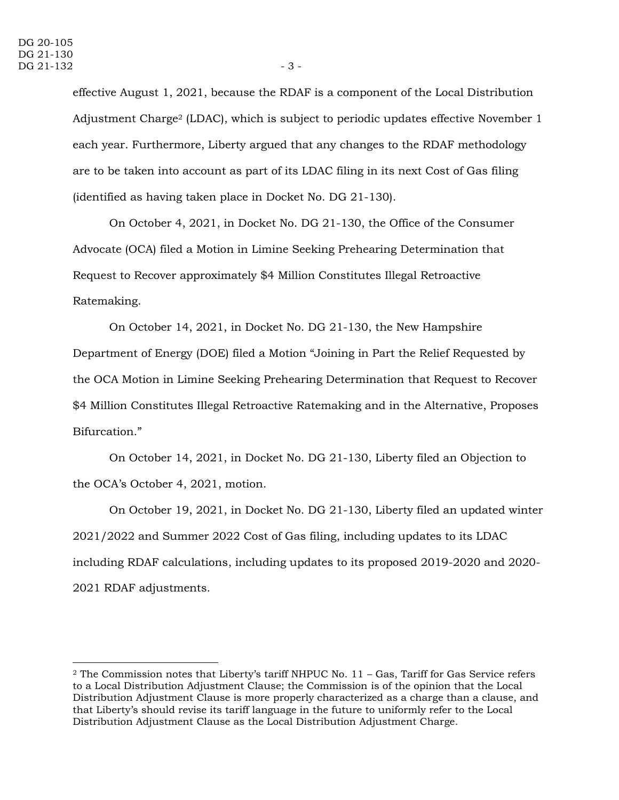effective August 1, 2021, because the RDAF is a component of the Local Distribution Adjustment Charge<sup>2</sup> (LDAC), which is subject to periodic updates effective November 1 each year. Furthermore, Liberty argued that any changes to the RDAF methodology are to be taken into account as part of its LDAC filing in its next Cost of Gas filing (identified as having taken place in Docket No. DG 21-130).

On October 4, 2021, in Docket No. DG 21-130, the Office of the Consumer Advocate (OCA) filed a Motion in Limine Seeking Prehearing Determination that Request to Recover approximately \$4 Million Constitutes Illegal Retroactive Ratemaking.

On October 14, 2021, in Docket No. DG 21-130, the New Hampshire Department of Energy (DOE) filed a Motion "Joining in Part the Relief Requested by the OCA Motion in Limine Seeking Prehearing Determination that Request to Recover \$4 Million Constitutes Illegal Retroactive Ratemaking and in the Alternative, Proposes Bifurcation."

On October 14, 2021, in Docket No. DG 21-130, Liberty filed an Objection to the OCA's October 4, 2021, motion.

On October 19, 2021, in Docket No. DG 21-130, Liberty filed an updated winter 2021/2022 and Summer 2022 Cost of Gas filing, including updates to its LDAC including RDAF calculations, including updates to its proposed 2019-2020 and 2020- 2021 RDAF adjustments.

<sup>&</sup>lt;sup>2</sup> The Commission notes that Liberty's tariff NHPUC No.  $11 - Gas$ , Tariff for Gas Service refers to a Local Distribution Adjustment Clause; the Commission is of the opinion that the Local Distribution Adjustment Clause is more properly characterized as a charge than a clause, and that Liberty's should revise its tariff language in the future to uniformly refer to the Local Distribution Adjustment Clause as the Local Distribution Adjustment Charge.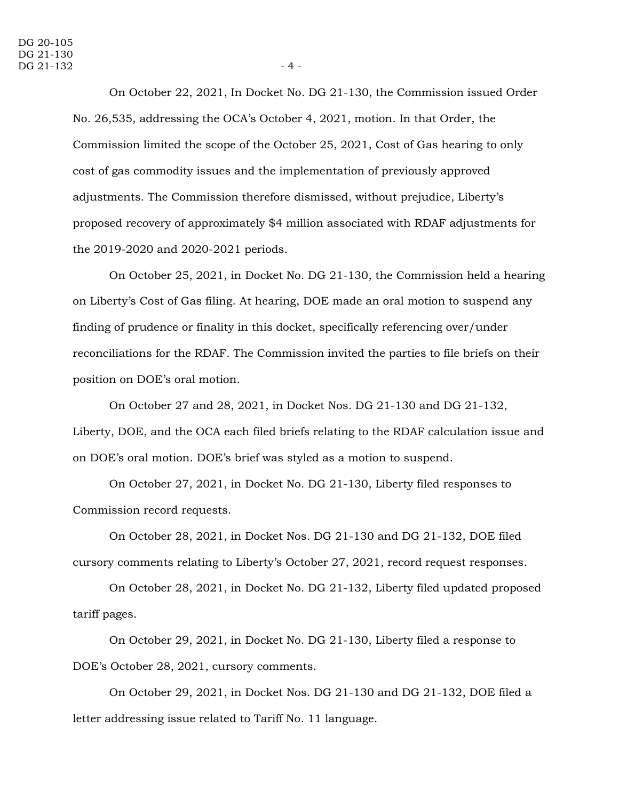On October 22, 2021, In Docket No. DG 21-130, the Commission issued Order No. 26,535, addressing the OCA's October 4, 2021, motion. In that Order, the Commission limited the scope of the October 25, 2021, Cost of Gas hearing to only cost of gas commodity issues and the implementation of previously approved adjustments. The Commission therefore dismissed, without prejudice, Liberty's proposed recovery of approximately \$4 million associated with RDAF adjustments for the 2019-2020 and 2020-2021 periods.

On October 25, 2021, in Docket No. DG 21-130, the Commission held a hearing on Liberty's Cost of Gas filing. At hearing, DOE made an oral motion to suspend any finding of prudence or finality in this docket, specifically referencing over/under reconciliations for the RDAF. The Commission invited the parties to file briefs on their position on DOE's oral motion.

On October 27 and 28, 2021, in Docket Nos. DG 21-130 and DG 21-132, Liberty, DOE, and the OCA each filed briefs relating to the RDAF calculation issue and on DOE's oral motion. DOE's brief was styled as a motion to suspend.

On October 27, 2021, in Docket No. DG 21-130, Liberty filed responses to Commission record requests.

On October 28, 2021, in Docket Nos. DG 21-130 and DG 21-132, DOE filed cursory comments relating to Liberty's October 27, 2021, record request responses.

On October 28, 2021, in Docket No. DG 21-132, Liberty filed updated proposed tariff pages.

On October 29, 2021, in Docket No. DG 21-130, Liberty filed a response to DOE's October 28, 2021, cursory comments.

On October 29, 2021, in Docket Nos. DG 21-130 and DG 21-132, DOE filed a letter addressing issue related to Tariff No. 11 language.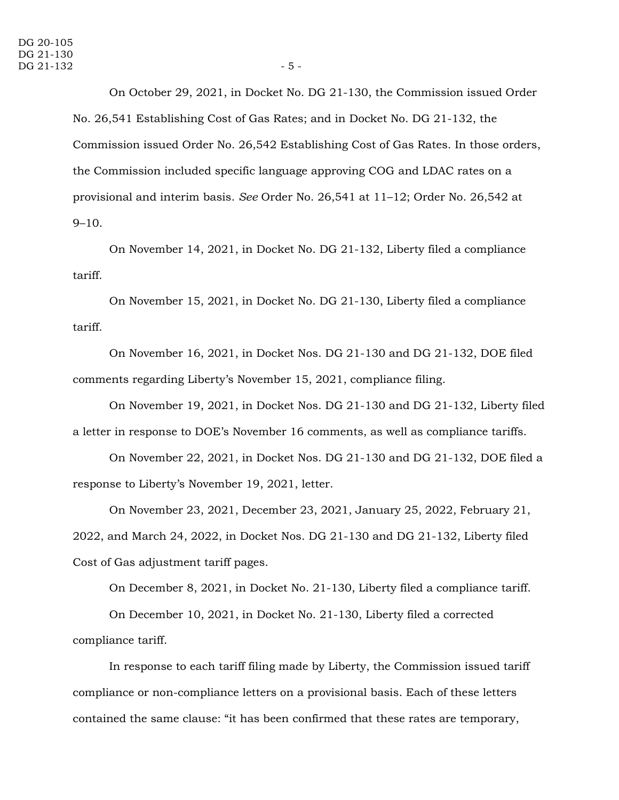On October 29, 2021, in Docket No. DG 21-130, the Commission issued Order No. 26,541 Establishing Cost of Gas Rates; and in Docket No. DG 21-132, the Commission issued Order No. 26,542 Establishing Cost of Gas Rates. In those orders, the Commission included specific language approving COG and LDAC rates on a provisional and interim basis. *See* Order No. 26,541 at 11–12; Order No. 26,542 at 9–10.

On November 14, 2021, in Docket No. DG 21-132, Liberty filed a compliance tariff.

On November 15, 2021, in Docket No. DG 21-130, Liberty filed a compliance tariff.

On November 16, 2021, in Docket Nos. DG 21-130 and DG 21-132, DOE filed comments regarding Liberty's November 15, 2021, compliance filing.

On November 19, 2021, in Docket Nos. DG 21-130 and DG 21-132, Liberty filed a letter in response to DOE's November 16 comments, as well as compliance tariffs.

On November 22, 2021, in Docket Nos. DG 21-130 and DG 21-132, DOE filed a response to Liberty's November 19, 2021, letter.

On November 23, 2021, December 23, 2021, January 25, 2022, February 21, 2022, and March 24, 2022, in Docket Nos. DG 21-130 and DG 21-132, Liberty filed Cost of Gas adjustment tariff pages.

On December 8, 2021, in Docket No. 21-130, Liberty filed a compliance tariff.

On December 10, 2021, in Docket No. 21-130, Liberty filed a corrected compliance tariff.

In response to each tariff filing made by Liberty, the Commission issued tariff compliance or non-compliance letters on a provisional basis. Each of these letters contained the same clause: "it has been confirmed that these rates are temporary,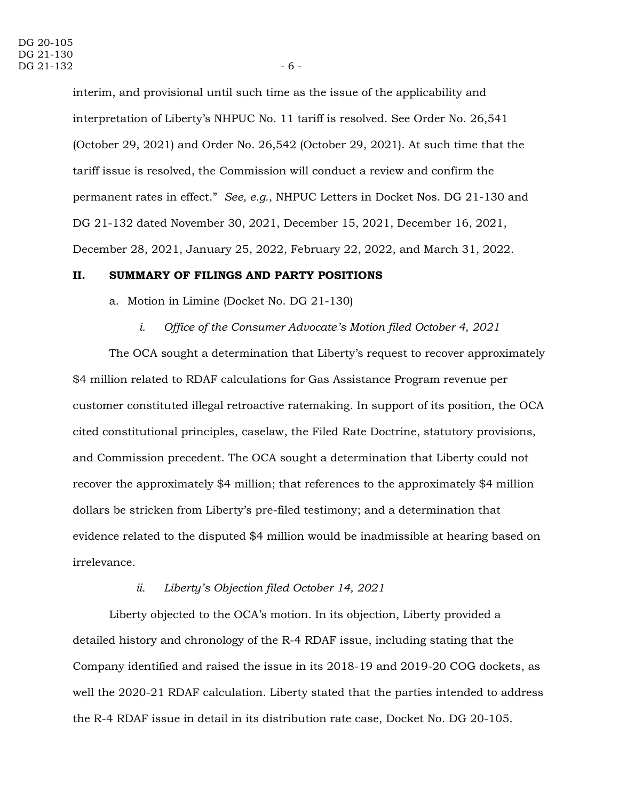interim, and provisional until such time as the issue of the applicability and interpretation of Liberty's NHPUC No. 11 tariff is resolved. See Order No. 26,541 (October 29, 2021) and Order No. 26,542 (October 29, 2021). At such time that the tariff issue is resolved, the Commission will conduct a review and confirm the permanent rates in effect." *See, e.g.*, NHPUC Letters in Docket Nos. DG 21-130 and DG 21-132 dated November 30, 2021, December 15, 2021, December 16, 2021, December 28, 2021, January 25, 2022, February 22, 2022, and March 31, 2022.

#### **II. SUMMARY OF FILINGS AND PARTY POSITIONS**

a. Motion in Limine (Docket No. DG 21-130)

*i. Office of the Consumer Advocate's Motion filed October 4, 2021*

The OCA sought a determination that Liberty's request to recover approximately \$4 million related to RDAF calculations for Gas Assistance Program revenue per customer constituted illegal retroactive ratemaking. In support of its position, the OCA cited constitutional principles, caselaw, the Filed Rate Doctrine, statutory provisions, and Commission precedent. The OCA sought a determination that Liberty could not recover the approximately \$4 million; that references to the approximately \$4 million dollars be stricken from Liberty's pre-filed testimony; and a determination that evidence related to the disputed \$4 million would be inadmissible at hearing based on irrelevance.

#### *ii. Liberty's Objection filed October 14, 2021*

Liberty objected to the OCA's motion. In its objection, Liberty provided a detailed history and chronology of the R-4 RDAF issue, including stating that the Company identified and raised the issue in its 2018-19 and 2019-20 COG dockets, as well the 2020-21 RDAF calculation. Liberty stated that the parties intended to address the R-4 RDAF issue in detail in its distribution rate case, Docket No. DG 20-105.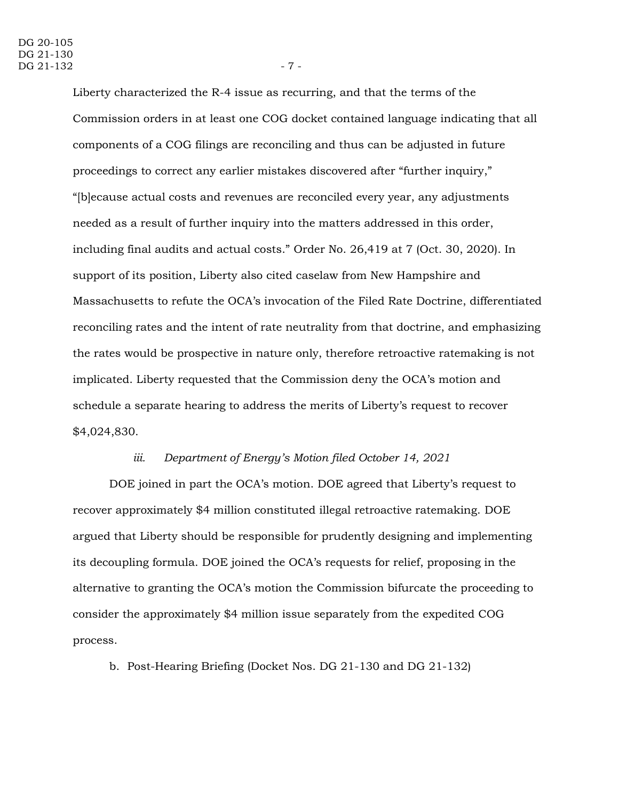Liberty characterized the R-4 issue as recurring, and that the terms of the Commission orders in at least one COG docket contained language indicating that all components of a COG filings are reconciling and thus can be adjusted in future proceedings to correct any earlier mistakes discovered after "further inquiry," "[b]ecause actual costs and revenues are reconciled every year, any adjustments needed as a result of further inquiry into the matters addressed in this order, including final audits and actual costs." Order No. 26,419 at 7 (Oct. 30, 2020). In support of its position, Liberty also cited caselaw from New Hampshire and Massachusetts to refute the OCA's invocation of the Filed Rate Doctrine, differentiated reconciling rates and the intent of rate neutrality from that doctrine, and emphasizing the rates would be prospective in nature only, therefore retroactive ratemaking is not implicated. Liberty requested that the Commission deny the OCA's motion and schedule a separate hearing to address the merits of Liberty's request to recover \$4,024,830.

#### *iii. Department of Energy's Motion filed October 14, 2021*

DOE joined in part the OCA's motion. DOE agreed that Liberty's request to recover approximately \$4 million constituted illegal retroactive ratemaking. DOE argued that Liberty should be responsible for prudently designing and implementing its decoupling formula. DOE joined the OCA's requests for relief, proposing in the alternative to granting the OCA's motion the Commission bifurcate the proceeding to consider the approximately \$4 million issue separately from the expedited COG process.

b. Post-Hearing Briefing (Docket Nos. DG 21-130 and DG 21-132)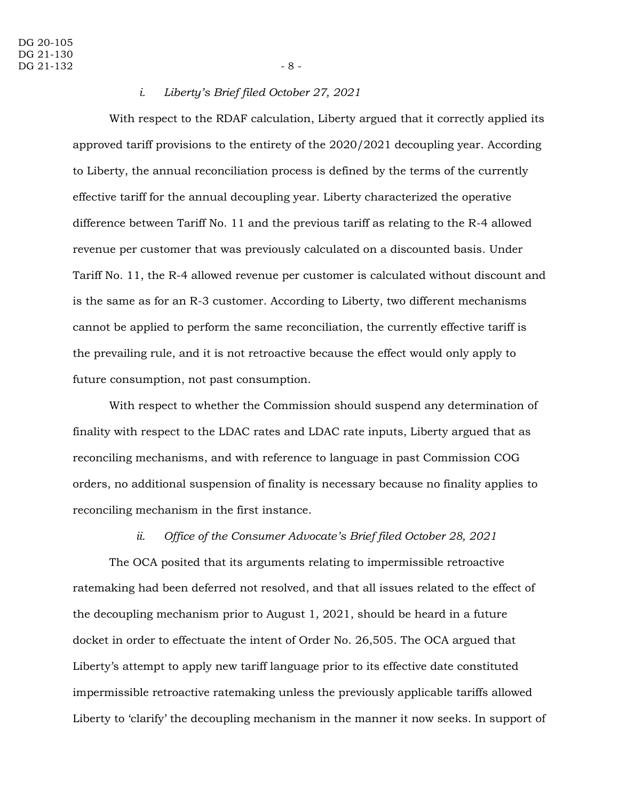#### *i. Liberty's Brief filed October 27, 2021*

With respect to the RDAF calculation, Liberty argued that it correctly applied its approved tariff provisions to the entirety of the 2020/2021 decoupling year. According to Liberty, the annual reconciliation process is defined by the terms of the currently effective tariff for the annual decoupling year. Liberty characterized the operative difference between Tariff No. 11 and the previous tariff as relating to the R-4 allowed revenue per customer that was previously calculated on a discounted basis. Under Tariff No. 11, the R-4 allowed revenue per customer is calculated without discount and is the same as for an R-3 customer. According to Liberty, two different mechanisms cannot be applied to perform the same reconciliation, the currently effective tariff is the prevailing rule, and it is not retroactive because the effect would only apply to future consumption, not past consumption.

With respect to whether the Commission should suspend any determination of finality with respect to the LDAC rates and LDAC rate inputs, Liberty argued that as reconciling mechanisms, and with reference to language in past Commission COG orders, no additional suspension of finality is necessary because no finality applies to reconciling mechanism in the first instance.

### *ii. Office of the Consumer Advocate's Brief filed October 28, 2021*

The OCA posited that its arguments relating to impermissible retroactive ratemaking had been deferred not resolved, and that all issues related to the effect of the decoupling mechanism prior to August 1, 2021, should be heard in a future docket in order to effectuate the intent of Order No. 26,505. The OCA argued that Liberty's attempt to apply new tariff language prior to its effective date constituted impermissible retroactive ratemaking unless the previously applicable tariffs allowed Liberty to 'clarify' the decoupling mechanism in the manner it now seeks. In support of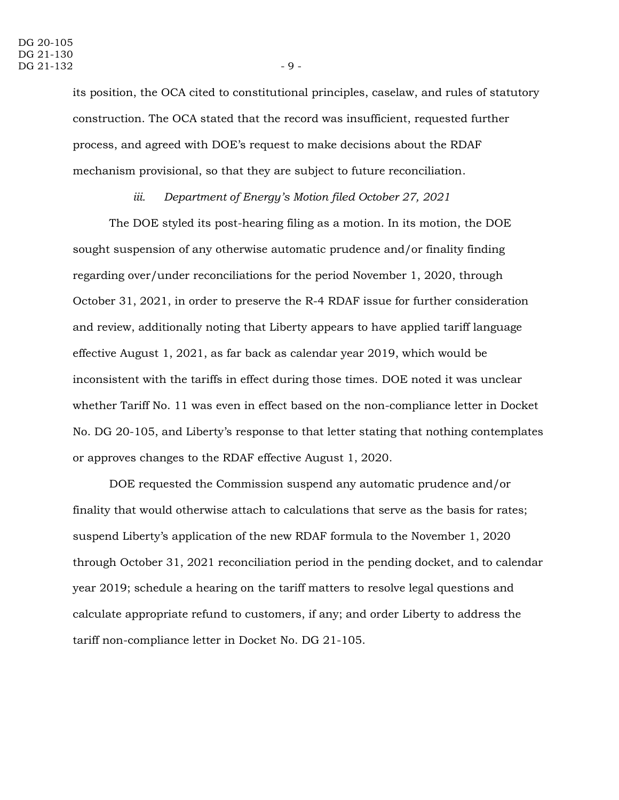its position, the OCA cited to constitutional principles, caselaw, and rules of statutory construction. The OCA stated that the record was insufficient, requested further process, and agreed with DOE's request to make decisions about the RDAF mechanism provisional, so that they are subject to future reconciliation.

#### *iii. Department of Energy's Motion filed October 27, 2021*

The DOE styled its post-hearing filing as a motion. In its motion, the DOE sought suspension of any otherwise automatic prudence and/or finality finding regarding over/under reconciliations for the period November 1, 2020, through October 31, 2021, in order to preserve the R-4 RDAF issue for further consideration and review, additionally noting that Liberty appears to have applied tariff language effective August 1, 2021, as far back as calendar year 2019, which would be inconsistent with the tariffs in effect during those times. DOE noted it was unclear whether Tariff No. 11 was even in effect based on the non-compliance letter in Docket No. DG 20-105, and Liberty's response to that letter stating that nothing contemplates or approves changes to the RDAF effective August 1, 2020.

DOE requested the Commission suspend any automatic prudence and/or finality that would otherwise attach to calculations that serve as the basis for rates; suspend Liberty's application of the new RDAF formula to the November 1, 2020 through October 31, 2021 reconciliation period in the pending docket, and to calendar year 2019; schedule a hearing on the tariff matters to resolve legal questions and calculate appropriate refund to customers, if any; and order Liberty to address the tariff non-compliance letter in Docket No. DG 21-105.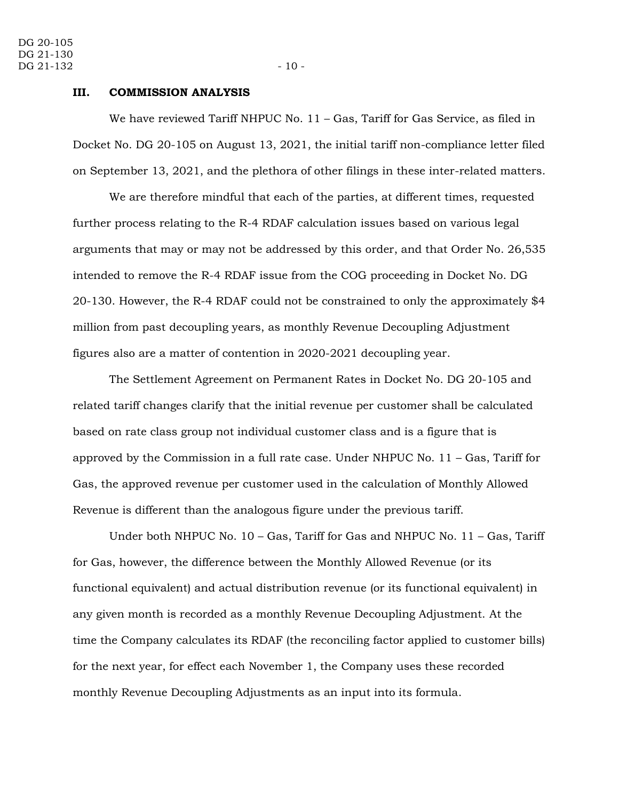#### **III. COMMISSION ANALYSIS**

We have reviewed Tariff NHPUC No. 11 – Gas, Tariff for Gas Service, as filed in Docket No. DG 20-105 on August 13, 2021, the initial tariff non-compliance letter filed on September 13, 2021, and the plethora of other filings in these inter-related matters.

We are therefore mindful that each of the parties, at different times, requested further process relating to the R-4 RDAF calculation issues based on various legal arguments that may or may not be addressed by this order, and that Order No. 26,535 intended to remove the R-4 RDAF issue from the COG proceeding in Docket No. DG 20-130. However, the R-4 RDAF could not be constrained to only the approximately \$4 million from past decoupling years, as monthly Revenue Decoupling Adjustment figures also are a matter of contention in 2020-2021 decoupling year.

The Settlement Agreement on Permanent Rates in Docket No. DG 20-105 and related tariff changes clarify that the initial revenue per customer shall be calculated based on rate class group not individual customer class and is a figure that is approved by the Commission in a full rate case. Under NHPUC No. 11 – Gas, Tariff for Gas, the approved revenue per customer used in the calculation of Monthly Allowed Revenue is different than the analogous figure under the previous tariff.

Under both NHPUC No.  $10 - Gas$ , Tariff for Gas and NHPUC No.  $11 - Gas$ , Tariff for Gas, however, the difference between the Monthly Allowed Revenue (or its functional equivalent) and actual distribution revenue (or its functional equivalent) in any given month is recorded as a monthly Revenue Decoupling Adjustment. At the time the Company calculates its RDAF (the reconciling factor applied to customer bills) for the next year, for effect each November 1, the Company uses these recorded monthly Revenue Decoupling Adjustments as an input into its formula.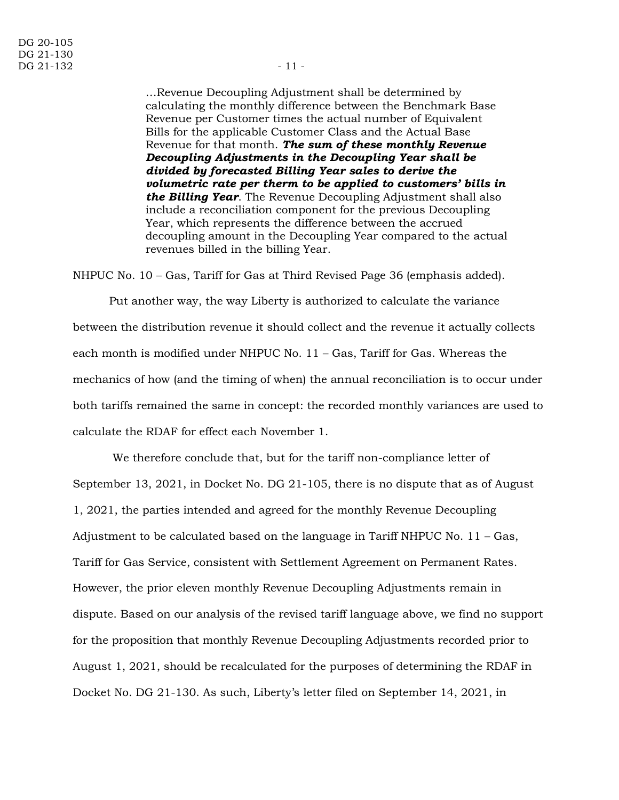…Revenue Decoupling Adjustment shall be determined by calculating the monthly difference between the Benchmark Base Revenue per Customer times the actual number of Equivalent Bills for the applicable Customer Class and the Actual Base Revenue for that month. *The sum of these monthly Revenue Decoupling Adjustments in the Decoupling Year shall be divided by forecasted Billing Year sales to derive the volumetric rate per therm to be applied to customers' bills in the Billing Year*. The Revenue Decoupling Adjustment shall also include a reconciliation component for the previous Decoupling Year, which represents the difference between the accrued decoupling amount in the Decoupling Year compared to the actual revenues billed in the billing Year.

NHPUC No. 10 – Gas, Tariff for Gas at Third Revised Page 36 (emphasis added).

Put another way, the way Liberty is authorized to calculate the variance between the distribution revenue it should collect and the revenue it actually collects each month is modified under NHPUC No. 11 – Gas, Tariff for Gas. Whereas the mechanics of how (and the timing of when) the annual reconciliation is to occur under both tariffs remained the same in concept: the recorded monthly variances are used to calculate the RDAF for effect each November 1.

We therefore conclude that, but for the tariff non-compliance letter of September 13, 2021, in Docket No. DG 21-105, there is no dispute that as of August 1, 2021, the parties intended and agreed for the monthly Revenue Decoupling Adjustment to be calculated based on the language in Tariff NHPUC No. 11 – Gas, Tariff for Gas Service, consistent with Settlement Agreement on Permanent Rates. However, the prior eleven monthly Revenue Decoupling Adjustments remain in dispute. Based on our analysis of the revised tariff language above, we find no support for the proposition that monthly Revenue Decoupling Adjustments recorded prior to August 1, 2021, should be recalculated for the purposes of determining the RDAF in Docket No. DG 21-130. As such, Liberty's letter filed on September 14, 2021, in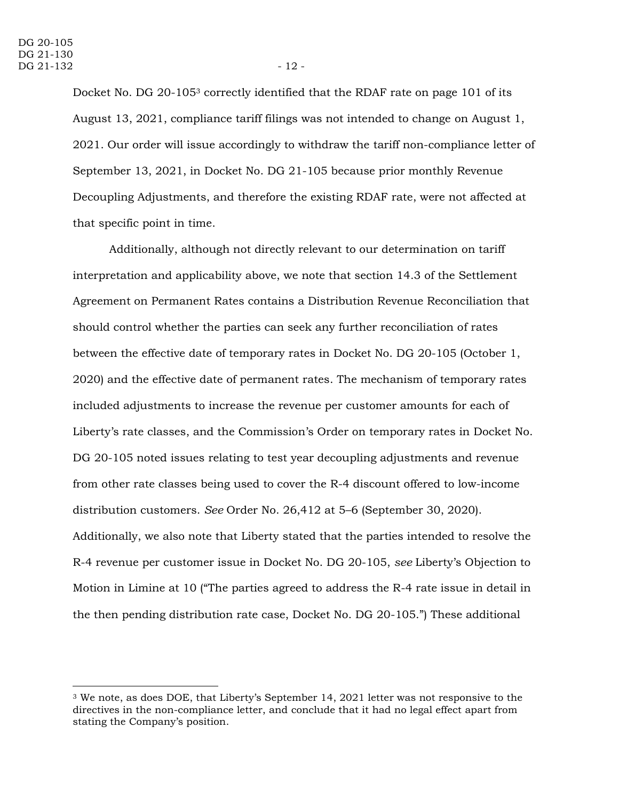Docket No. DG 20-105<sup>3</sup> correctly identified that the RDAF rate on page 101 of its August 13, 2021, compliance tariff filings was not intended to change on August 1, 2021. Our order will issue accordingly to withdraw the tariff non-compliance letter of September 13, 2021, in Docket No. DG 21-105 because prior monthly Revenue Decoupling Adjustments, and therefore the existing RDAF rate, were not affected at that specific point in time.

Additionally, although not directly relevant to our determination on tariff interpretation and applicability above, we note that section 14.3 of the Settlement Agreement on Permanent Rates contains a Distribution Revenue Reconciliation that should control whether the parties can seek any further reconciliation of rates between the effective date of temporary rates in Docket No. DG 20-105 (October 1, 2020) and the effective date of permanent rates. The mechanism of temporary rates included adjustments to increase the revenue per customer amounts for each of Liberty's rate classes, and the Commission's Order on temporary rates in Docket No. DG 20-105 noted issues relating to test year decoupling adjustments and revenue from other rate classes being used to cover the R-4 discount offered to low-income distribution customers. *See* Order No. 26,412 at 5–6 (September 30, 2020). Additionally, we also note that Liberty stated that the parties intended to resolve the R-4 revenue per customer issue in Docket No. DG 20-105, *see* Liberty's Objection to Motion in Limine at 10 ("The parties agreed to address the R-4 rate issue in detail in the then pending distribution rate case, Docket No. DG 20-105.") These additional

<sup>3</sup> We note, as does DOE, that Liberty's September 14, 2021 letter was not responsive to the directives in the non-compliance letter, and conclude that it had no legal effect apart from stating the Company's position.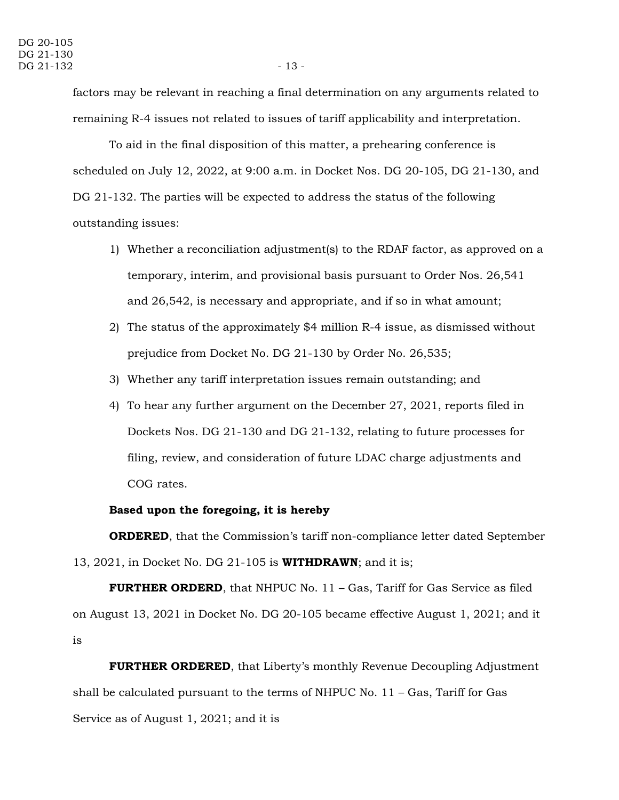factors may be relevant in reaching a final determination on any arguments related to remaining R-4 issues not related to issues of tariff applicability and interpretation.

To aid in the final disposition of this matter, a prehearing conference is scheduled on July 12, 2022, at 9:00 a.m. in Docket Nos. DG 20-105, DG 21-130, and DG 21-132. The parties will be expected to address the status of the following outstanding issues:

- 1) Whether a reconciliation adjustment(s) to the RDAF factor, as approved on a temporary, interim, and provisional basis pursuant to Order Nos. 26,541 and 26,542, is necessary and appropriate, and if so in what amount;
- 2) The status of the approximately \$4 million R-4 issue, as dismissed without prejudice from Docket No. DG 21-130 by Order No. 26,535;
- 3) Whether any tariff interpretation issues remain outstanding; and
- 4) To hear any further argument on the December 27, 2021, reports filed in Dockets Nos. DG 21-130 and DG 21-132, relating to future processes for filing, review, and consideration of future LDAC charge adjustments and COG rates.

#### **Based upon the foregoing, it is hereby**

**ORDERED**, that the Commission's tariff non-compliance letter dated September 13, 2021, in Docket No. DG 21-105 is **WITHDRAWN**; and it is;

**FURTHER ORDERD**, that NHPUC No. 11 – Gas, Tariff for Gas Service as filed on August 13, 2021 in Docket No. DG 20-105 became effective August 1, 2021; and it is

**FURTHER ORDERED**, that Liberty's monthly Revenue Decoupling Adjustment shall be calculated pursuant to the terms of NHPUC No.  $11 - Gas$ , Tariff for Gas Service as of August 1, 2021; and it is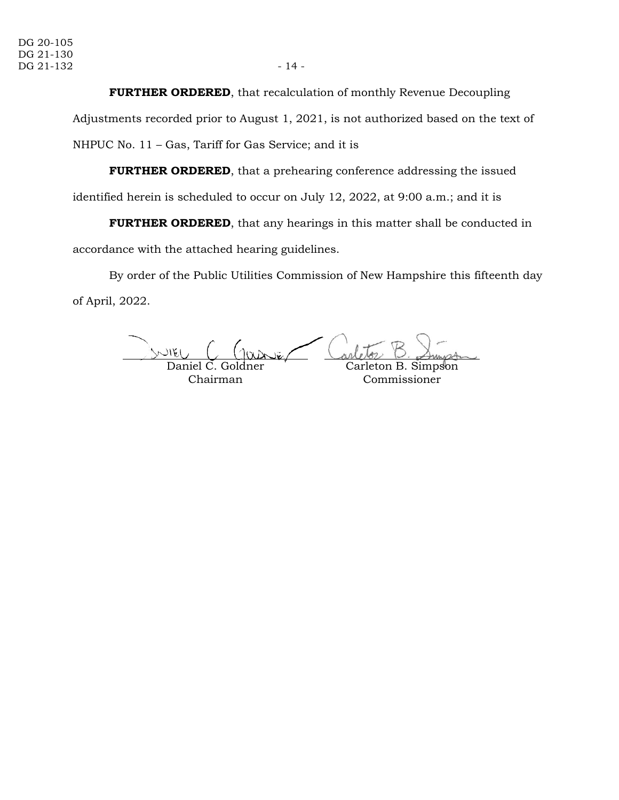#### **FURTHER ORDERED**, that recalculation of monthly Revenue Decoupling

Adjustments recorded prior to August 1, 2021, is not authorized based on the text of NHPUC No. 11 – Gas, Tariff for Gas Service; and it is

**FURTHER ORDERED**, that a prehearing conference addressing the issued

identified herein is scheduled to occur on July 12, 2022, at 9:00 a.m.; and it is

**FURTHER ORDERED**, that any hearings in this matter shall be conducted in accordance with the attached hearing guidelines.

By order of the Public Utilities Commission of New Hampshire this fifteenth day of April, 2022.

الكالاس Daniel C. Goldner Carleton B. Simpson

Chairman

Commissioner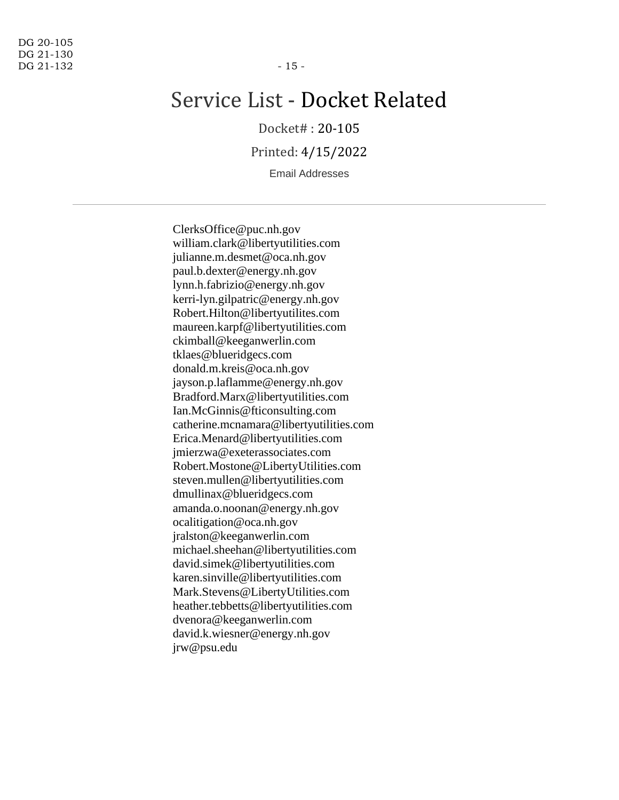# Service List - Docket Related

Docket# : 20-105

Printed: 4/15/2022

Email Addresses

ClerksOffice@puc.nh.gov william.clark@libertyutilities.com julianne.m.desmet@oca.nh.gov paul.b.dexter@energy.nh.gov lynn.h.fabrizio@energy.nh.gov kerri-lyn.gilpatric@energy.nh.gov Robert.Hilton@libertyutilites.com maureen.karpf@libertyutilities.com ckimball@keeganwerlin.com tklaes@blueridgecs.com donald.m.kreis@oca.nh.gov jayson.p.laflamme@energy.nh.gov Bradford.Marx@libertyutilities.com Ian.McGinnis@fticonsulting.com catherine.mcnamara@libertyutilities.com Erica.Menard@libertyutilities.com jmierzwa@exeterassociates.com Robert.Mostone@LibertyUtilities.com steven.mullen@libertyutilities.com dmullinax@blueridgecs.com amanda.o.noonan@energy.nh.gov ocalitigation@oca.nh.gov jralston@keeganwerlin.com michael.sheehan@libertyutilities.com david.simek@libertyutilities.com karen.sinville@libertyutilities.com Mark.Stevens@LibertyUtilities.com heather.tebbetts@libertyutilities.com dvenora@keeganwerlin.com david.k.wiesner@energy.nh.gov jrw@psu.edu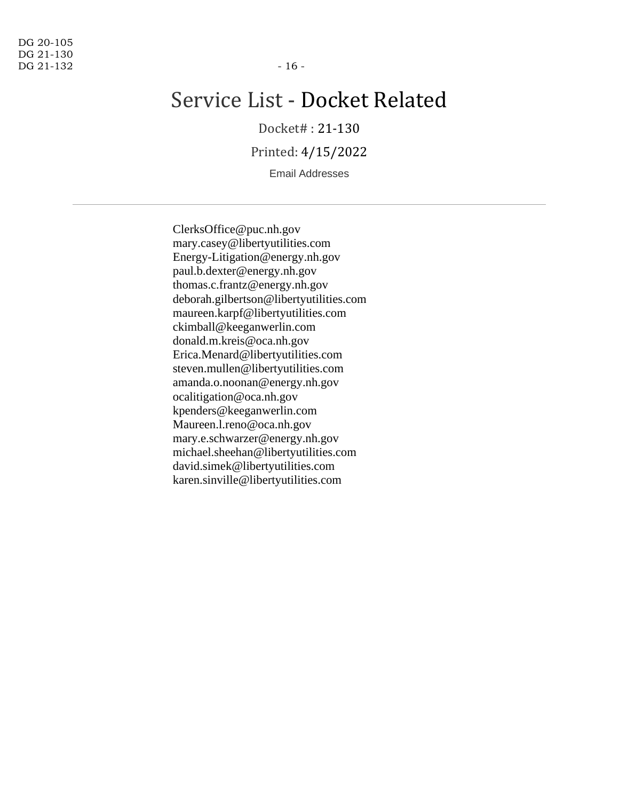# Service List - Docket Related

Docket# : 21-130

Printed: 4/15/2022

Email Addresses

ClerksOffice@puc.nh.gov mary.casey@libertyutilities.com Energy-Litigation@energy.nh.gov paul.b.dexter@energy.nh.gov thomas.c.frantz@energy.nh.gov deborah.gilbertson@libertyutilities.com maureen.karpf@libertyutilities.com ckimball@keeganwerlin.com donald.m.kreis@oca.nh.gov Erica.Menard@libertyutilities.com steven.mullen@libertyutilities.com amanda.o.noonan@energy.nh.gov ocalitigation@oca.nh.gov kpenders@keeganwerlin.com Maureen.l.reno@oca.nh.gov mary.e.schwarzer@energy.nh.gov michael.sheehan@libertyutilities.com david.simek@libertyutilities.com karen.sinville@libertyutilities.com